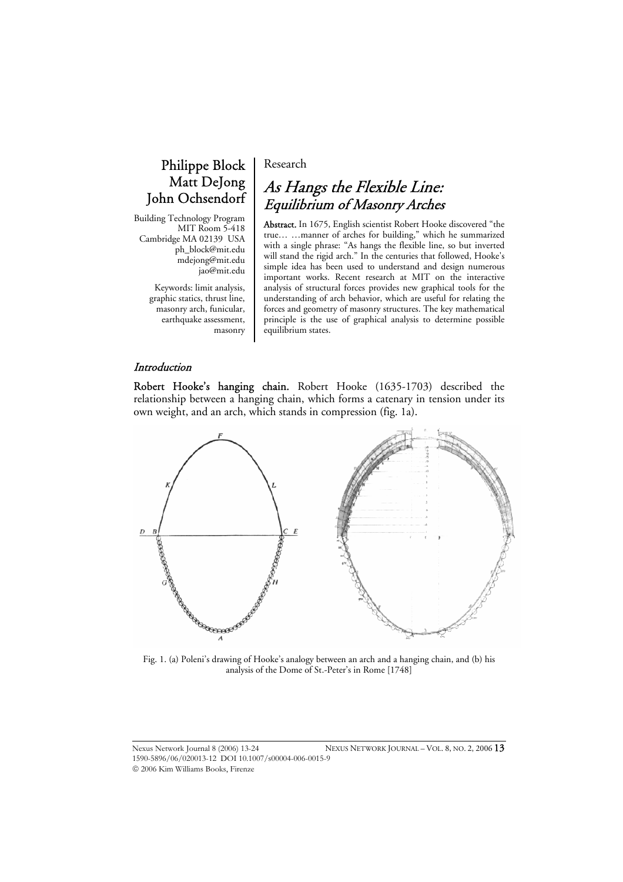# Philippe Block Matt DeJong John Ochsendorf

Building Technology Program MIT Room 5-418 Cambridge MA 02139 USA ph\_block@mit.edu mdejong@mit.edu jao@mit.edu

> Keywords: limit analysis, graphic statics, thrust line, masonry arch, funicular, earthquake assessment, masonry

# Research

# As Hangs the Flexible Line: Equilibrium of Masonry Arches

Abstract. In 1675, English scientist Robert Hooke discovered "the true… …manner of arches for building," which he summarized with a single phrase: "As hangs the flexible line, so but inverted will stand the rigid arch." In the centuries that followed, Hooke's simple idea has been used to understand and design numerous important works. Recent research at MIT on the interactive analysis of structural forces provides new graphical tools for the understanding of arch behavior, which are useful for relating the forces and geometry of masonry structures. The key mathematical principle is the use of graphical analysis to determine possible equilibrium states.

# **Introduction**

Robert Hooke's hanging chain. Robert Hooke (1635-1703) described the relationship between a hanging chain, which forms a catenary in tension under its own weight, and an arch, which stands in compression (fig. 1a).



Fig. 1. (a) Poleni's drawing of Hooke's analogy between an arch and a hanging chain, and (b) his analysis of the Dome of St.-Peter's in Rome [1748]

NEXUS NETWORK JOURNAL – VOL. 8, NO. 2, 2006 13 Nexus Network Journal 8 (2006) 13-24 1590-5896/06/020013-12 DOI 10.1007/s00004-006-0015-9 © 2006 Kim Williams Books, Firenze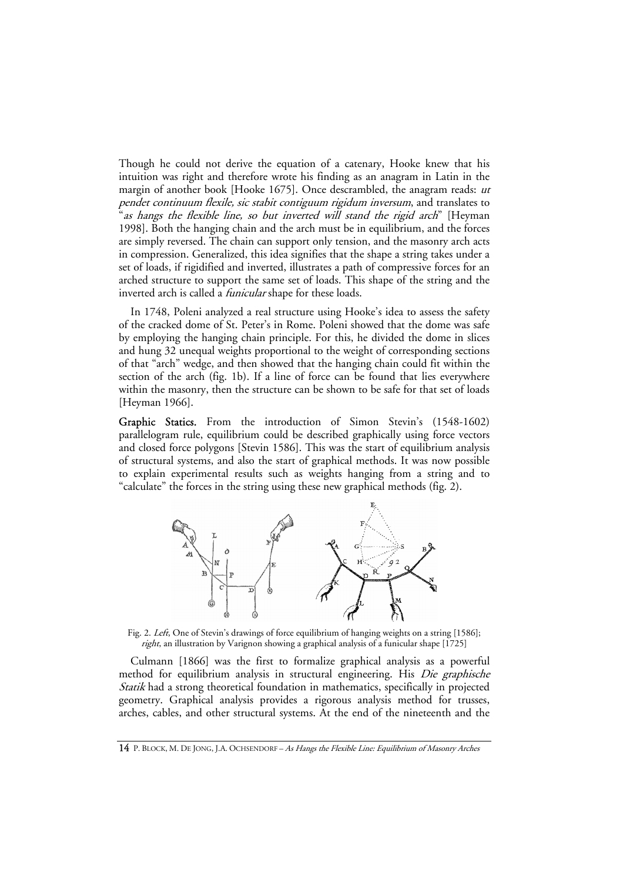Though he could not derive the equation of a catenary, Hooke knew that his intuition was right and therefore wrote his finding as an anagram in Latin in the margin of another book [Hooke 1675]. Once descrambled, the anagram reads: ut pendet continuum flexile, sic stabit contiguum rigidum inversum, and translates to "as hangs the flexible line, so but inverted will stand the rigid arch" [Heyman 1998]. Both the hanging chain and the arch must be in equilibrium, and the forces are simply reversed. The chain can support only tension, and the masonry arch acts in compression. Generalized, this idea signifies that the shape a string takes under a set of loads, if rigidified and inverted, illustrates a path of compressive forces for an arched structure to support the same set of loads. This shape of the string and the inverted arch is called a *funicular* shape for these loads.

In 1748, Poleni analyzed a real structure using Hooke's idea to assess the safety of the cracked dome of St. Peter's in Rome. Poleni showed that the dome was safe by employing the hanging chain principle. For this, he divided the dome in slices and hung 32 unequal weights proportional to the weight of corresponding sections of that "arch" wedge, and then showed that the hanging chain could fit within the section of the arch (fig. 1b). If a line of force can be found that lies everywhere within the masonry, then the structure can be shown to be safe for that set of loads [Heyman 1966].

Graphic Statics. From the introduction of Simon Stevin's (1548-1602) parallelogram rule, equilibrium could be described graphically using force vectors and closed force polygons [Stevin 1586]. This was the start of equilibrium analysis of structural systems, and also the start of graphical methods. It was now possible to explain experimental results such as weights hanging from a string and to "calculate" the forces in the string using these new graphical methods (fig. 2).



Fig. 2. Left, One of Stevin's drawings of force equilibrium of hanging weights on a string [1586]; right, an illustration by Varignon showing a graphical analysis of a funicular shape [1725]

Culmann [1866] was the first to formalize graphical analysis as a powerful method for equilibrium analysis in structural engineering. His Die graphische Statik had a strong theoretical foundation in mathematics, specifically in projected geometry. Graphical analysis provides a rigorous analysis method for trusses, arches, cables, and other structural systems. At the end of the nineteenth and the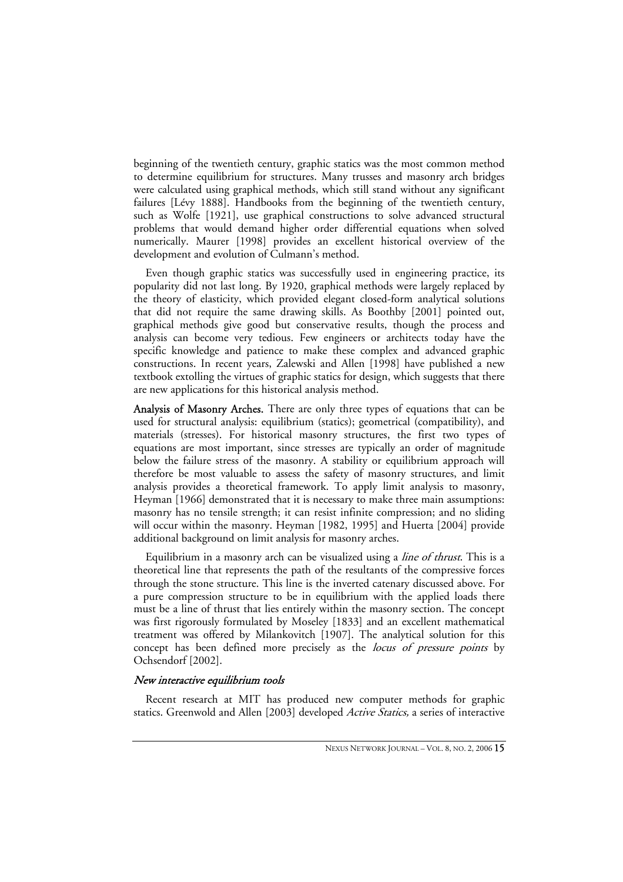beginning of the twentieth century, graphic statics was the most common method to determine equilibrium for structures. Many trusses and masonry arch bridges were calculated using graphical methods, which still stand without any significant failures [Lévy 1888]. Handbooks from the beginning of the twentieth century, such as Wolfe [1921], use graphical constructions to solve advanced structural problems that would demand higher order differential equations when solved numerically. Maurer [1998] provides an excellent historical overview of the development and evolution of Culmann's method.

Even though graphic statics was successfully used in engineering practice, its popularity did not last long. By 1920, graphical methods were largely replaced by the theory of elasticity, which provided elegant closed-form analytical solutions that did not require the same drawing skills. As Boothby [2001] pointed out, graphical methods give good but conservative results, though the process and analysis can become very tedious. Few engineers or architects today have the specific knowledge and patience to make these complex and advanced graphic constructions. In recent years, Zalewski and Allen [1998] have published a new textbook extolling the virtues of graphic statics for design, which suggests that there are new applications for this historical analysis method.

Analysis of Masonry Arches. There are only three types of equations that can be used for structural analysis: equilibrium (statics); geometrical (compatibility), and materials (stresses). For historical masonry structures, the first two types of equations are most important, since stresses are typically an order of magnitude below the failure stress of the masonry. A stability or equilibrium approach will therefore be most valuable to assess the safety of masonry structures, and limit analysis provides a theoretical framework. To apply limit analysis to masonry, Heyman [1966] demonstrated that it is necessary to make three main assumptions: masonry has no tensile strength; it can resist infinite compression; and no sliding will occur within the masonry. Heyman [1982, 1995] and Huerta [2004] provide additional background on limit analysis for masonry arches.

Equilibrium in a masonry arch can be visualized using a line of thrust. This is a theoretical line that represents the path of the resultants of the compressive forces through the stone structure. This line is the inverted catenary discussed above. For a pure compression structure to be in equilibrium with the applied loads there must be a line of thrust that lies entirely within the masonry section. The concept was first rigorously formulated by Moseley [1833] and an excellent mathematical treatment was offered by Milankovitch [1907]. The analytical solution for this concept has been defined more precisely as the locus of pressure points by Ochsendorf [2002].

# New interactive equilibrium tools

Recent research at MIT has produced new computer methods for graphic statics. Greenwold and Allen [2003] developed Active Statics, a series of interactive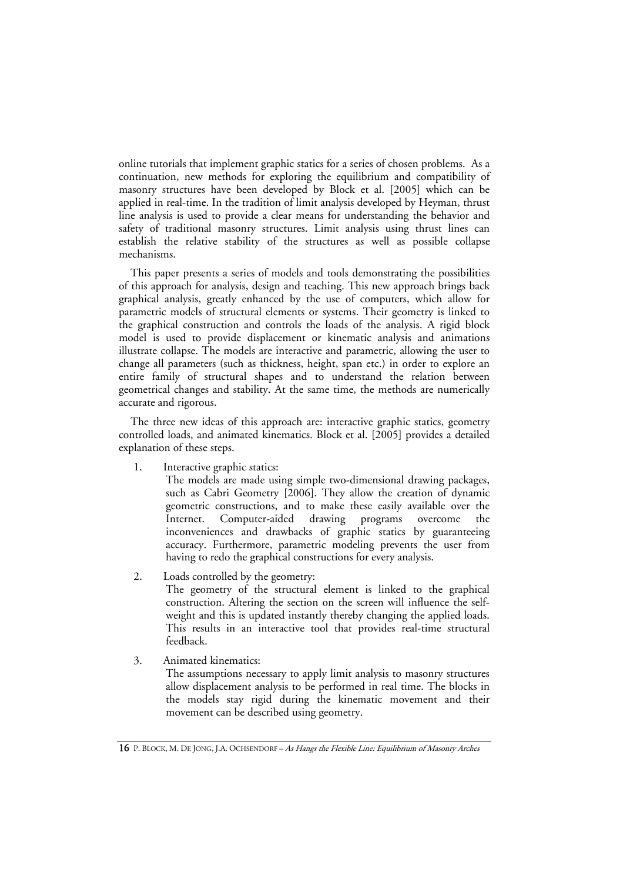online tutorials that implement graphic statics for a series of chosen problems. As a continuation, new methods for exploring the equilibrium and compatibility of masonry structures have been developed by Block et al. [2005] which can be applied in real-time. In the tradition of limit analysis developed by Heyman, thrust line analysis is used to provide a clear means for understanding the behavior and safety of traditional masonry structures. Limit analysis using thrust lines can establish the relative stability of the structures as well as possible collapse mechanisms.

This paper presents a series of models and tools demonstrating the possibilities of this approach for analysis, design and teaching. This new approach brings back graphical analysis, greatly enhanced by the use of computers, which allow for parametric models of structural elements or systems. Their geometry is linked to the graphical construction and controls the loads of the analysis. A rigid block model is used to provide displacement or kinematic analysis and animations illustrate collapse. The models are interactive and parametric, allowing the user to change all parameters (such as thickness, height, span etc.) in order to explore an entire family of structural shapes and to understand the relation between geometrical changes and stability. At the same time, the methods are numerically accurate and rigorous.

The three new ideas of this approach are: interactive graphic statics, geometry controlled loads, and animated kinematics. Block et al. [2005] provides a detailed explanation of these steps.

1. Interactive graphic statics:

The models are made using simple two-dimensional drawing packages, such as Cabri Geometry [2006]. They allow the creation of dynamic geometric constructions, and to make these easily available over the Internet. Computer-aided drawing programs overcome the inconveniences and drawbacks of graphic statics by guaranteeing accuracy. Furthermore, parametric modeling prevents the user from having to redo the graphical constructions for every analysis.

2. Loads controlled by the geometry:

The geometry of the structural element is linked to the graphical construction. Altering the section on the screen will influence the selfweight and this is updated instantly thereby changing the applied loads. This results in an interactive tool that provides real-time structural feedback.

3. Animated kinematics:

The assumptions necessary to apply limit analysis to masonry structures allow displacement analysis to be performed in real time. The blocks in the models stay rigid during the kinematic movement and their movement can be described using geometry.

<sup>16</sup> P. BLOCK, M. DE JONG, J.A. OCHSENDORF – As Hangs the Flexible Line: Equilibrium of Masonry Arches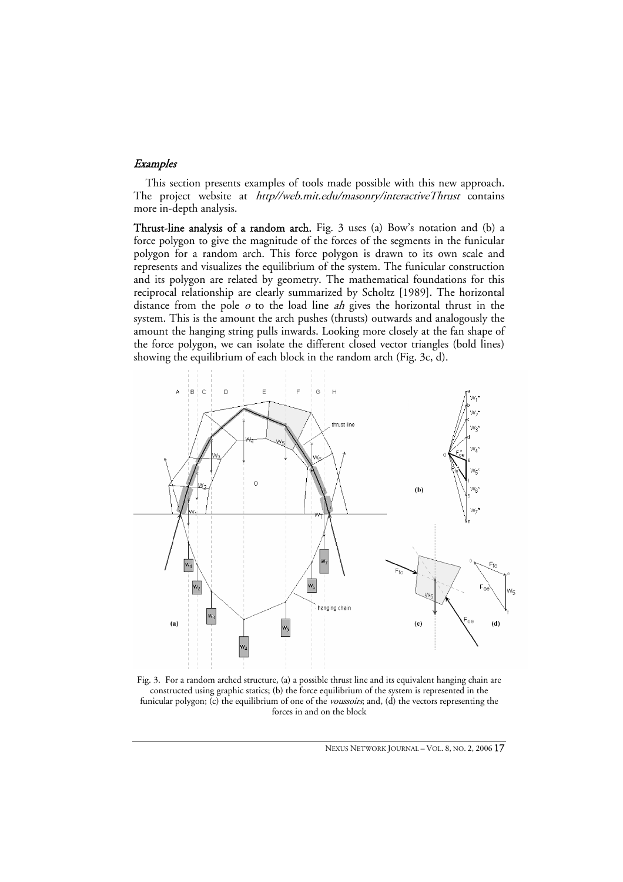#### **Examples**

This section presents examples of tools made possible with this new approach. The project website at http//web.mit.edu/masonry/interactiveThrust contains more in-depth analysis.

Thrust-line analysis of a random arch. Fig. 3 uses (a) Bow's notation and (b) a force polygon to give the magnitude of the forces of the segments in the funicular polygon for a random arch. This force polygon is drawn to its own scale and represents and visualizes the equilibrium of the system. The funicular construction and its polygon are related by geometry. The mathematical foundations for this reciprocal relationship are clearly summarized by Scholtz [1989]. The horizontal distance from the pole  $\sigma$  to the load line ah gives the horizontal thrust in the system. This is the amount the arch pushes (thrusts) outwards and analogously the amount the hanging string pulls inwards. Looking more closely at the fan shape of the force polygon, we can isolate the different closed vector triangles (bold lines) showing the equilibrium of each block in the random arch (Fig. 3c, d).



Fig. 3. For a random arched structure, (a) a possible thrust line and its equivalent hanging chain are constructed using graphic statics; (b) the force equilibrium of the system is represented in the funicular polygon; (c) the equilibrium of one of the voussoirs; and, (d) the vectors representing the forces in and on the block

NEXUS NETWORK JOURNAL – VOL. 8, NO. 2, 2006 17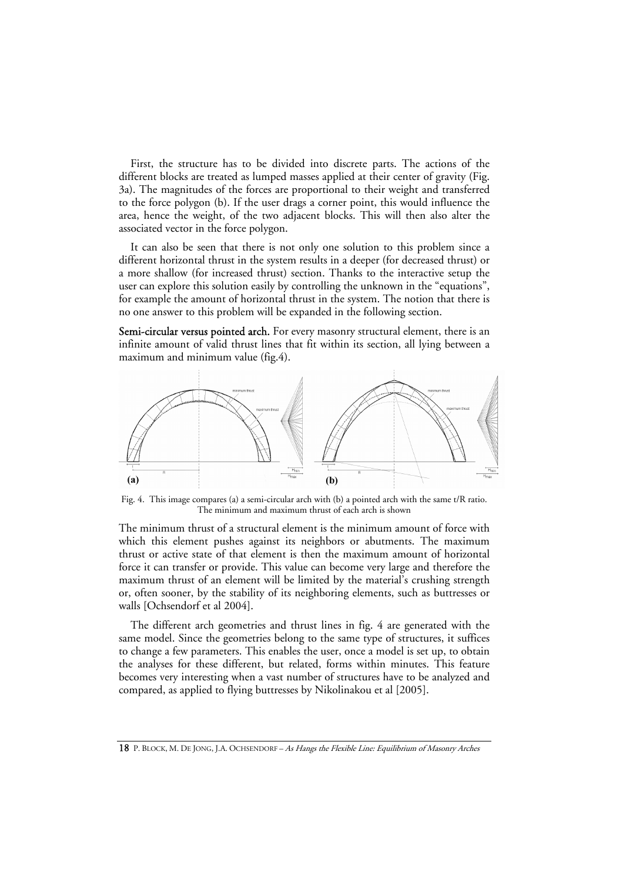First, the structure has to be divided into discrete parts. The actions of the different blocks are treated as lumped masses applied at their center of gravity (Fig. 3a). The magnitudes of the forces are proportional to their weight and transferred to the force polygon (b). If the user drags a corner point, this would influence the area, hence the weight, of the two adjacent blocks. This will then also alter the associated vector in the force polygon.

It can also be seen that there is not only one solution to this problem since a different horizontal thrust in the system results in a deeper (for decreased thrust) or a more shallow (for increased thrust) section. Thanks to the interactive setup the user can explore this solution easily by controlling the unknown in the "equations", for example the amount of horizontal thrust in the system. The notion that there is no one answer to this problem will be expanded in the following section.

Semi-circular versus pointed arch. For every masonry structural element, there is an infinite amount of valid thrust lines that fit within its section, all lying between a maximum and minimum value (fig.4).



Fig. 4. This image compares (a) a semi-circular arch with (b) a pointed arch with the same t/R ratio. The minimum and maximum thrust of each arch is shown

The minimum thrust of a structural element is the minimum amount of force with which this element pushes against its neighbors or abutments. The maximum thrust or active state of that element is then the maximum amount of horizontal force it can transfer or provide. This value can become very large and therefore the maximum thrust of an element will be limited by the material's crushing strength or, often sooner, by the stability of its neighboring elements, such as buttresses or walls [Ochsendorf et al 2004].

The different arch geometries and thrust lines in fig. 4 are generated with the same model. Since the geometries belong to the same type of structures, it suffices to change a few parameters. This enables the user, once a model is set up, to obtain the analyses for these different, but related, forms within minutes. This feature becomes very interesting when a vast number of structures have to be analyzed and compared, as applied to flying buttresses by Nikolinakou et al [2005].

18 P. BLOCK, M. DE JONG, J.A. OCHSENDORF – As Hangs the Flexible Line: Equilibrium of Masonry Arches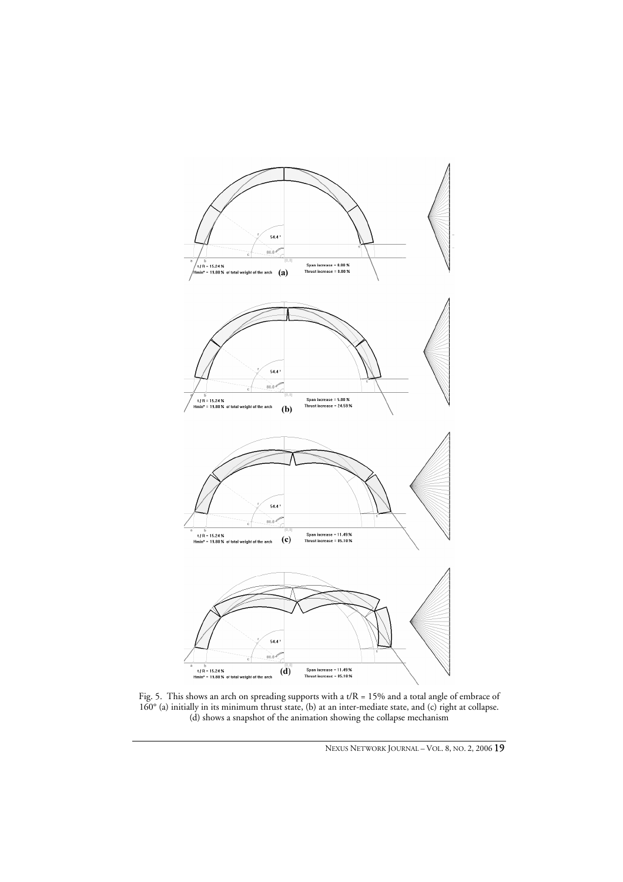

Fig. 5. This shows an arch on spreading supports with a  $t/R = 15%$  and a total angle of embrace of 160° (a) initially in its minimum thrust state, (b) at an inter-mediate state, and (c) right at collapse. (d) shows a snapshot of the animation showing the collapse mechanism

NEXUS NETWORK JOURNAL - VOL. 8, NO. 2, 2006 19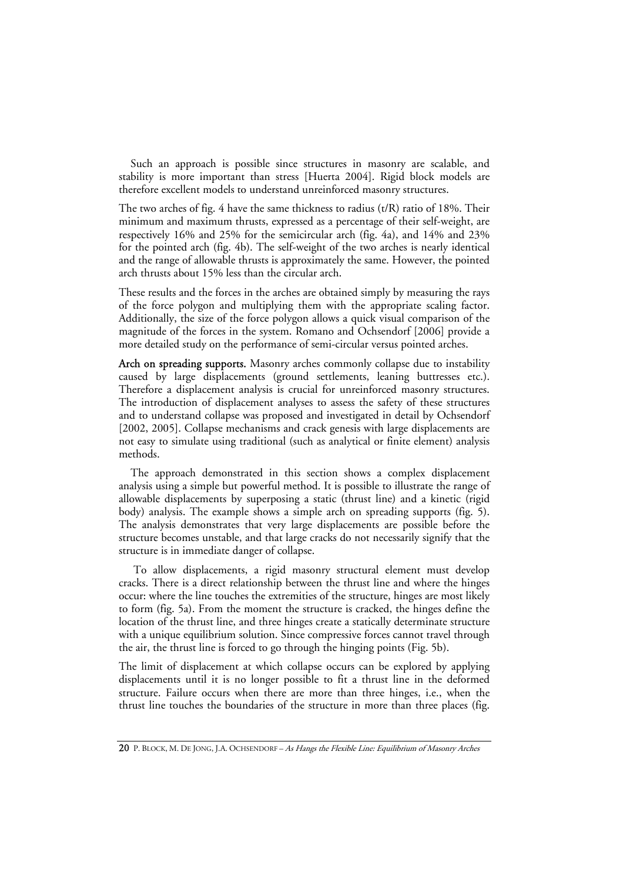Such an approach is possible since structures in masonry are scalable, and stability is more important than stress [Huerta 2004]. Rigid block models are therefore excellent models to understand unreinforced masonry structures.

The two arches of fig. 4 have the same thickness to radius (t/R) ratio of 18%. Their minimum and maximum thrusts, expressed as a percentage of their self-weight, are respectively 16% and 25% for the semicircular arch (fig. 4a), and 14% and 23% for the pointed arch (fig. 4b). The self-weight of the two arches is nearly identical and the range of allowable thrusts is approximately the same. However, the pointed arch thrusts about 15% less than the circular arch.

These results and the forces in the arches are obtained simply by measuring the rays of the force polygon and multiplying them with the appropriate scaling factor. Additionally, the size of the force polygon allows a quick visual comparison of the magnitude of the forces in the system. Romano and Ochsendorf [2006] provide a more detailed study on the performance of semi-circular versus pointed arches.

Arch on spreading supports. Masonry arches commonly collapse due to instability caused by large displacements (ground settlements, leaning buttresses etc.). Therefore a displacement analysis is crucial for unreinforced masonry structures. The introduction of displacement analyses to assess the safety of these structures and to understand collapse was proposed and investigated in detail by Ochsendorf [2002, 2005]. Collapse mechanisms and crack genesis with large displacements are not easy to simulate using traditional (such as analytical or finite element) analysis methods.

The approach demonstrated in this section shows a complex displacement analysis using a simple but powerful method. It is possible to illustrate the range of allowable displacements by superposing a static (thrust line) and a kinetic (rigid body) analysis. The example shows a simple arch on spreading supports (fig. 5). The analysis demonstrates that very large displacements are possible before the structure becomes unstable, and that large cracks do not necessarily signify that the structure is in immediate danger of collapse.

 To allow displacements, a rigid masonry structural element must develop cracks. There is a direct relationship between the thrust line and where the hinges occur: where the line touches the extremities of the structure, hinges are most likely to form (fig. 5a). From the moment the structure is cracked, the hinges define the location of the thrust line, and three hinges create a statically determinate structure with a unique equilibrium solution. Since compressive forces cannot travel through the air, the thrust line is forced to go through the hinging points (Fig. 5b).

The limit of displacement at which collapse occurs can be explored by applying displacements until it is no longer possible to fit a thrust line in the deformed structure. Failure occurs when there are more than three hinges, i.e., when the thrust line touches the boundaries of the structure in more than three places (fig.

<sup>20</sup> P. BLOCK, M. DE JONG, J.A. OCHSENDORF - As Hangs the Flexible Line: Equilibrium of Masonry Arches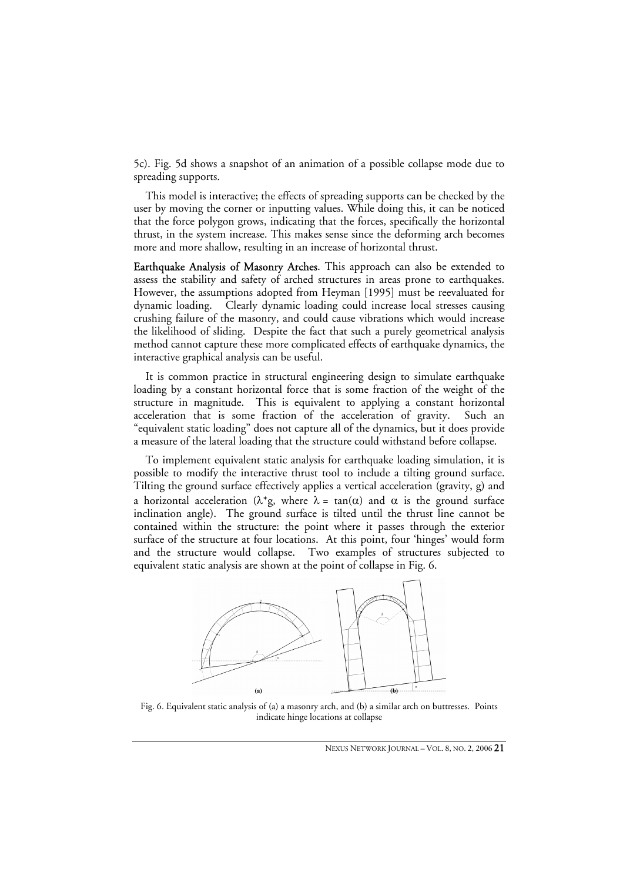5c). Fig. 5d shows a snapshot of an animation of a possible collapse mode due to spreading supports.

This model is interactive; the effects of spreading supports can be checked by the user by moving the corner or inputting values. While doing this, it can be noticed that the force polygon grows, indicating that the forces, specifically the horizontal thrust, in the system increase. This makes sense since the deforming arch becomes more and more shallow, resulting in an increase of horizontal thrust.

Earthquake Analysis of Masonry Arches. This approach can also be extended to assess the stability and safety of arched structures in areas prone to earthquakes. However, the assumptions adopted from Heyman [1995] must be reevaluated for dynamic loading. Clearly dynamic loading could increase local stresses causing crushing failure of the masonry, and could cause vibrations which would increase the likelihood of sliding. Despite the fact that such a purely geometrical analysis method cannot capture these more complicated effects of earthquake dynamics, the interactive graphical analysis can be useful.

It is common practice in structural engineering design to simulate earthquake loading by a constant horizontal force that is some fraction of the weight of the structure in magnitude. This is equivalent to applying a constant horizontal acceleration that is some fraction of the acceleration of gravity. Such an "equivalent static loading" does not capture all of the dynamics, but it does provide a measure of the lateral loading that the structure could withstand before collapse.

To implement equivalent static analysis for earthquake loading simulation, it is possible to modify the interactive thrust tool to include a tilting ground surface. Tilting the ground surface effectively applies a vertical acceleration (gravity, g) and a horizontal acceleration ( $\lambda^*$ g, where  $\lambda = \tan(\alpha)$  and  $\alpha$  is the ground surface inclination angle). The ground surface is tilted until the thrust line cannot be contained within the structure: the point where it passes through the exterior surface of the structure at four locations. At this point, four 'hinges' would form and the structure would collapse. Two examples of structures subjected to equivalent static analysis are shown at the point of collapse in Fig. 6.



Fig. 6. Equivalent static analysis of (a) a masonry arch, and (b) a similar arch on buttresses. Points indicate hinge locations at collapse

NEXUS NETWORK JOURNAL – VOL. 8, NO. 2, 2006 21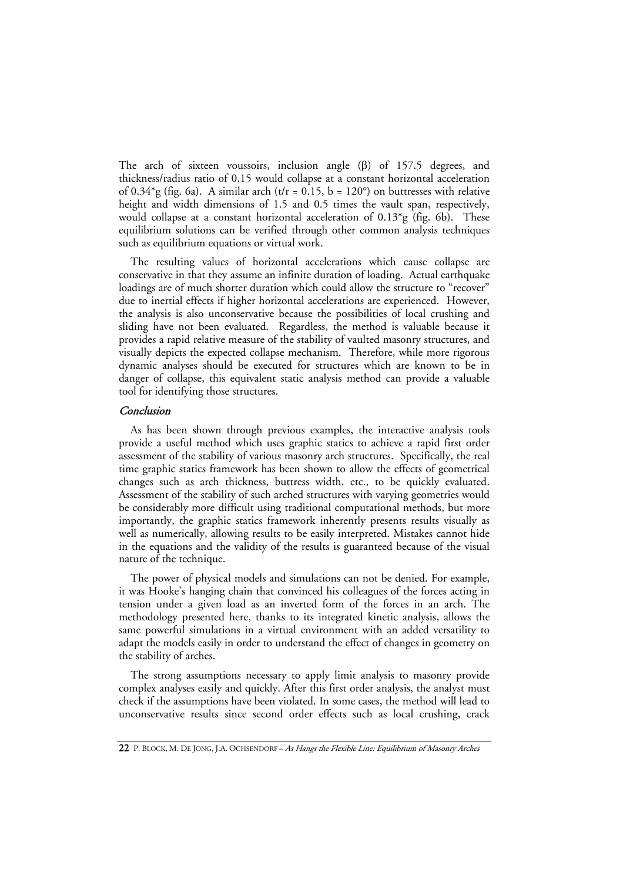The arch of sixteen voussoirs, inclusion angle (β) of 157.5 degrees, and thickness/radius ratio of 0.15 would collapse at a constant horizontal acceleration of 0.34<sup>\*</sup>g (fig. 6a). A similar arch (t/r = 0.15, b = 120°) on buttresses with relative height and width dimensions of 1.5 and 0.5 times the vault span, respectively, would collapse at a constant horizontal acceleration of  $0.13<sup>*</sup>g$  (fig. 6b). These equilibrium solutions can be verified through other common analysis techniques such as equilibrium equations or virtual work.

The resulting values of horizontal accelerations which cause collapse are conservative in that they assume an infinite duration of loading. Actual earthquake loadings are of much shorter duration which could allow the structure to "recover" due to inertial effects if higher horizontal accelerations are experienced. However, the analysis is also unconservative because the possibilities of local crushing and sliding have not been evaluated. Regardless, the method is valuable because it provides a rapid relative measure of the stability of vaulted masonry structures, and visually depicts the expected collapse mechanism. Therefore, while more rigorous dynamic analyses should be executed for structures which are known to be in danger of collapse, this equivalent static analysis method can provide a valuable tool for identifying those structures.

# **Conclusion**

As has been shown through previous examples, the interactive analysis tools provide a useful method which uses graphic statics to achieve a rapid first order assessment of the stability of various masonry arch structures. Specifically, the real time graphic statics framework has been shown to allow the effects of geometrical changes such as arch thickness, buttress width, etc., to be quickly evaluated. Assessment of the stability of such arched structures with varying geometries would be considerably more difficult using traditional computational methods, but more importantly, the graphic statics framework inherently presents results visually as well as numerically, allowing results to be easily interpreted. Mistakes cannot hide in the equations and the validity of the results is guaranteed because of the visual nature of the technique.

The power of physical models and simulations can not be denied. For example, it was Hooke's hanging chain that convinced his colleagues of the forces acting in tension under a given load as an inverted form of the forces in an arch. The methodology presented here, thanks to its integrated kinetic analysis, allows the same powerful simulations in a virtual environment with an added versatility to adapt the models easily in order to understand the effect of changes in geometry on the stability of arches.

The strong assumptions necessary to apply limit analysis to masonry provide complex analyses easily and quickly. After this first order analysis, the analyst must check if the assumptions have been violated. In some cases, the method will lead to unconservative results since second order effects such as local crushing, crack

<sup>22</sup> P. BLOCK, M. DE JONG, J.A. OCHSENDORF - As Hangs the Flexible Line: Equilibrium of Masonry Arches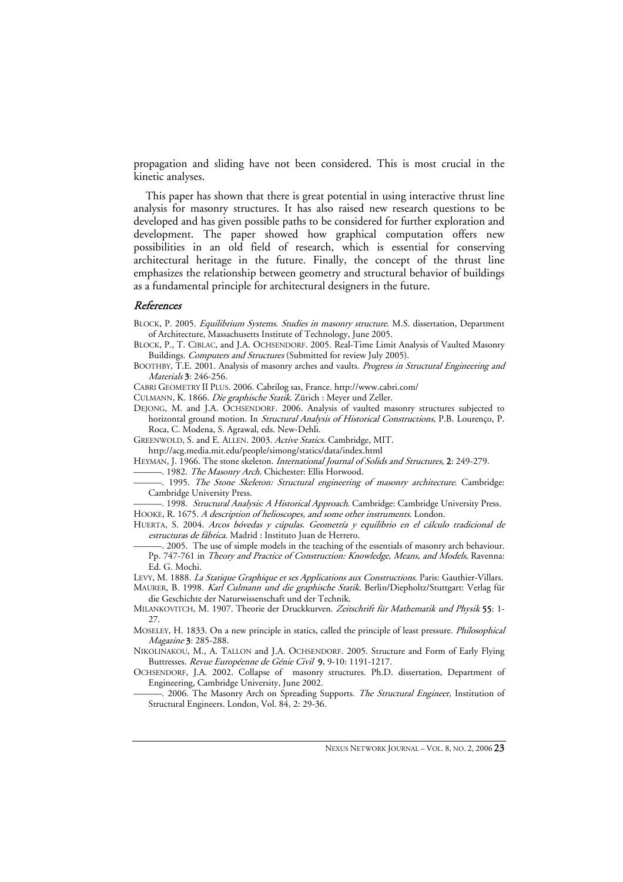propagation and sliding have not been considered. This is most crucial in the kinetic analyses.

This paper has shown that there is great potential in using interactive thrust line analysis for masonry structures. It has also raised new research questions to be developed and has given possible paths to be considered for further exploration and development. The paper showed how graphical computation offers new possibilities in an old field of research, which is essential for conserving architectural heritage in the future. Finally, the concept of the thrust line emphasizes the relationship between geometry and structural behavior of buildings as a fundamental principle for architectural designers in the future.

# References

- BLOCK, P. 2005. Equilibrium Systems. Studies in masonry structure. M.S. dissertation, Department of Architecture, Massachusetts Institute of Technology, June 2005.
- BLOCK, P., T. CIBLAC, and J.A. OCHSENDORF. 2005. Real-Time Limit Analysis of Vaulted Masonry Buildings. Computers and Structures (Submitted for review July 2005).
- BOOTHBY, T.E. 2001. Analysis of masonry arches and vaults. Progress in Structural Engineering and Materials 3: 246-256.
- CABRI GEOMETRY II PLUS. 2006. Cabrilog sas, France. http://www.cabri.com/
- CULMANN, K. 1866. Die graphische Statik. Zürich : Meyer und Zeller.
- DEJONG, M. and J.A. OCHSENDORF. 2006. Analysis of vaulted masonry structures subjected to horizontal ground motion. In Structural Analysis of Historical Constructions, P.B. Lourenço, P. Roca, C. Modena, S. Agrawal, eds. New-Dehli.
- GREENWOLD, S. and E. ALLEN. 2003. Active Statics. Cambridge, MIT.
- http://acg.media.mit.edu/people/simong/statics/data/index.html
- HEYMAN, J. 1966. The stone skeleton. International Journal of Solids and Structures, 2: 249-279. –. 1982. *The Masonry Arch.* Chichester: Ellis Horwood.
- -. 1995. The Stone Skeleton: Structural engineering of masonry architecture. Cambridge: Cambridge University Press.

. 1998. Structural Analysis: A Historical Approach. Cambridge: Cambridge University Press. HOOKE, R. 1675. A description of helioscopes, and some other instruments. London.

- HUERTA, S. 2004. Arcos bóvedas y cúpulas. Geometría y equilibrio en el cálculo tradicional de estructuras de fábrica. Madrid : Instituto Juan de Herrero.
- 2005. The use of simple models in the teaching of the essentials of masonry arch behaviour. Pp. 747-761 in Theory and Practice of Construction: Knowledge, Means, and Models, Ravenna: Ed. G. Mochi.
- LEVY, M. 1888. La Statique Graphique et ses Applications aux Constructions. Paris: Gauthier-Villars.
- MAURER, B. 1998. Karl Culmann und die graphische Statik. Berlin/Diepholtz/Stuttgart: Verlag für die Geschichte der Naturwissenschaft und der Technik.
- MILANKOVITCH, M. 1907. Theorie der Druckkurven. Zeitschrift für Mathematik und Physik 55: 1-27.
- MOSELEY, H. 1833. On a new principle in statics, called the principle of least pressure. Philosophical Magazine 3: 285-288.
- NIKOLINAKOU, M., A. TALLON and J.A. OCHSENDORF. 2005. Structure and Form of Early Flying Buttresses. Revue Européenne de Génie Civil 9, 9-10: 1191-1217.

OCHSENDORF, J.A. 2002. Collapse of masonry structures. Ph.D. dissertation, Department of Engineering, Cambridge University, June 2002.

. 2006. The Masonry Arch on Spreading Supports. The Structural Engineer, Institution of Structural Engineers. London, Vol. 84, 2: 29-36.